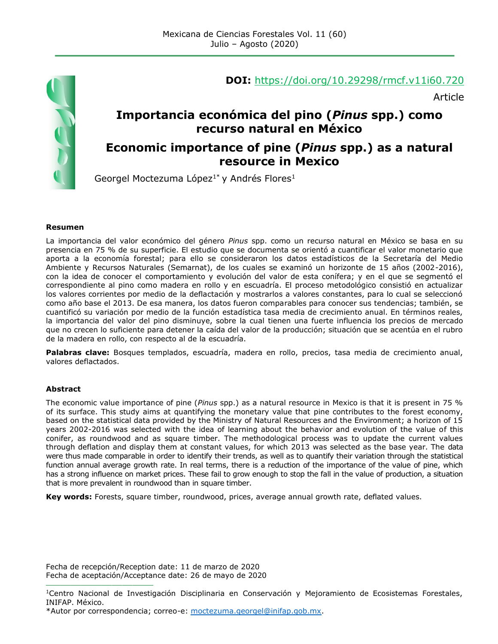

#### **DOI:** <https://doi.org/10.29298/rmcf.v11i60.720>

Article

## **Importancia económica del pino (***Pinus* **spp.) como recurso natural en México**

#### **Economic importance of pine (***Pinus* **spp.) as a natural resource in Mexico**

Georgel Moctezuma López<sup>1\*</sup> y Andrés Flores<sup>1</sup>

#### **Resumen**

La importancia del valor económico del género *Pinus* spp. como un recurso natural en México se basa en su presencia en 75 % de su superficie. El estudio que se documenta se orientó a cuantificar el valor monetario que aporta a la economía forestal; para ello se consideraron los datos estadísticos de la Secretaría del Medio Ambiente y Recursos Naturales (Semarnat), de los cuales se examinó un horizonte de 15 años (2002-2016), con la idea de conocer el comportamiento y evolución del valor de esta conífera; y en el que se segmentó el correspondiente al pino como madera en rollo y en escuadría. El proceso metodológico consistió en actualizar los valores corrientes por medio de la deflactación y mostrarlos a valores constantes, para lo cual se seleccionó como año base el 2013. De esa manera, los datos fueron comparables para conocer sus tendencias; también, se cuantificó su variación por medio de la función estadística tasa media de crecimiento anual. En términos reales, la importancia del valor del pino disminuye, sobre la cual tienen una fuerte influencia los precios de mercado que no crecen lo suficiente para detener la caída del valor de la producción; situación que se acentúa en el rubro de la madera en rollo, con respecto al de la escuadría.

**Palabras clave:** Bosques templados, escuadría, madera en rollo, precios, tasa media de crecimiento anual, valores deflactados.

#### **Abstract**

The economic value importance of pine (*Pinus* spp.) as a natural resource in Mexico is that it is present in 75 % of its surface. This study aims at quantifying the monetary value that pine contributes to the forest economy, based on the statistical data provided by the Ministry of Natural Resources and the Environment; a horizon of 15 years 2002-2016 was selected with the idea of learning about the behavior and evolution of the value of this conifer, as roundwood and as square timber. The methodological process was to update the current values through deflation and display them at constant values, for which 2013 was selected as the base year. The data were thus made comparable in order to identify their trends, as well as to quantify their variation through the statistical function annual average growth rate. In real terms, there is a reduction of the importance of the value of pine, which has a strong influence on market prices. These fail to grow enough to stop the fall in the value of production, a situation that is more prevalent in roundwood than in square timber.

**Key words:** Forests, square timber, roundwood, prices, average annual growth rate, deflated values.

Fecha de recepción/Reception date: 11 de marzo de 2020 Fecha de aceptación/Acceptance date: 26 de mayo de 2020

**\_\_\_\_\_\_\_\_\_\_\_\_\_\_\_\_\_\_\_\_\_\_\_\_\_\_\_\_\_\_\_**

<sup>1</sup>Centro Nacional de Investigación Disciplinaria en Conservación y Mejoramiento de Ecosistemas Forestales, INIFAP. México.

<sup>\*</sup>Autor por correspondencia; correo-e: [moctezuma.georgel@inifap.gob.mx.](mailto:moctezuma.georgel@inifap.gob.mx)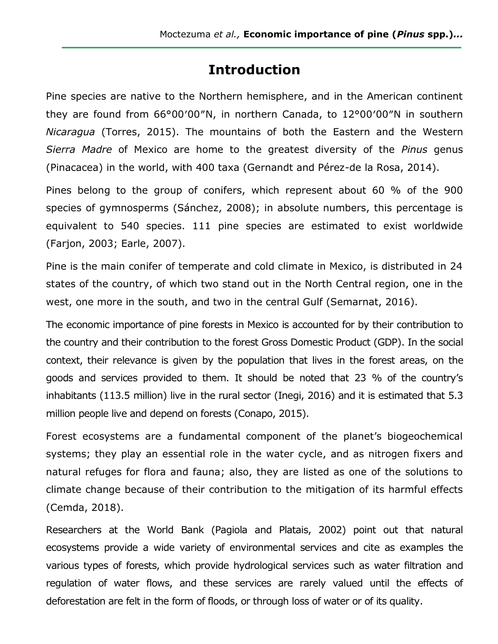# **Introduction**

Pine species are native to the Northern hemisphere, and in the American continent they are found from 66°00′00″N, in northern Canada, to 12°00′00″N in southern *Nicaragua* (Torres, 2015). The mountains of both the Eastern and the Western *Sierra Madre* of Mexico are home to the greatest diversity of the *Pinus* genus (Pinacacea) in the world, with 400 taxa (Gernandt and Pérez-de la Rosa, 2014).

Pines belong to the group of conifers, which represent about 60 % of the 900 species of gymnosperms (Sánchez, 2008); in absolute numbers, this percentage is equivalent to 540 species. 111 pine species are estimated to exist worldwide (Farjon, 2003; Earle, 2007).

Pine is the main conifer of temperate and cold climate in Mexico, is distributed in 24 states of the country, of which two stand out in the North Central region, one in the west, one more in the south, and two in the central Gulf (Semarnat, 2016).

The economic importance of pine forests in Mexico is accounted for by their contribution to the country and their contribution to the forest Gross Domestic Product (GDP). In the social context, their relevance is given by the population that lives in the forest areas, on the goods and services provided to them. It should be noted that 23 % of the country's inhabitants (113.5 million) live in the rural sector (Inegi, 2016) and it is estimated that 5.3 million people live and depend on forests (Conapo, 2015).

Forest ecosystems are a fundamental component of the planet's biogeochemical systems; they play an essential role in the water cycle, and as nitrogen fixers and natural refuges for flora and fauna; also, they are listed as one of the solutions to climate change because of their contribution to the mitigation of its harmful effects (Cemda, 2018).

Researchers at the World Bank (Pagiola and Platais, 2002) point out that natural ecosystems provide a wide variety of environmental services and cite as examples the various types of forests, which provide hydrological services such as water filtration and regulation of water flows, and these services are rarely valued until the effects of deforestation are felt in the form of floods, or through loss of water or of its quality.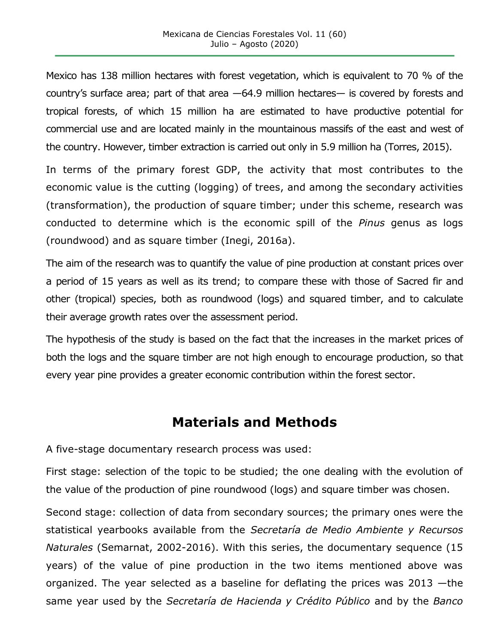Mexico has 138 million hectares with forest vegetation, which is equivalent to 70 % of the country's surface area; part of that area —64.9 million hectares— is covered by forests and tropical forests, of which 15 million ha are estimated to have productive potential for commercial use and are located mainly in the mountainous massifs of the east and west of the country. However, timber extraction is carried out only in 5.9 million ha (Torres, 2015).

In terms of the primary forest GDP, the activity that most contributes to the economic value is the cutting (logging) of trees, and among the secondary activities (transformation), the production of square timber; under this scheme, research was conducted to determine which is the economic spill of the *Pinus* genus as logs (roundwood) and as square timber (Inegi, 2016a).

The aim of the research was to quantify the value of pine production at constant prices over a period of 15 years as well as its trend; to compare these with those of Sacred fir and other (tropical) species, both as roundwood (logs) and squared timber, and to calculate their average growth rates over the assessment period.

The hypothesis of the study is based on the fact that the increases in the market prices of both the logs and the square timber are not high enough to encourage production, so that every year pine provides a greater economic contribution within the forest sector.

## **Materials and Methods**

A five-stage documentary research process was used:

First stage: selection of the topic to be studied; the one dealing with the evolution of the value of the production of pine roundwood (logs) and square timber was chosen.

Second stage: collection of data from secondary sources; the primary ones were the statistical yearbooks available from the *Secretaría de Medio Ambiente y Recursos Naturales* (Semarnat, 2002-2016). With this series, the documentary sequence (15 years) of the value of pine production in the two items mentioned above was organized. The year selected as a baseline for deflating the prices was 2013 —the same year used by the *Secretaría de Hacienda y Crédito Público* and by the *Banco*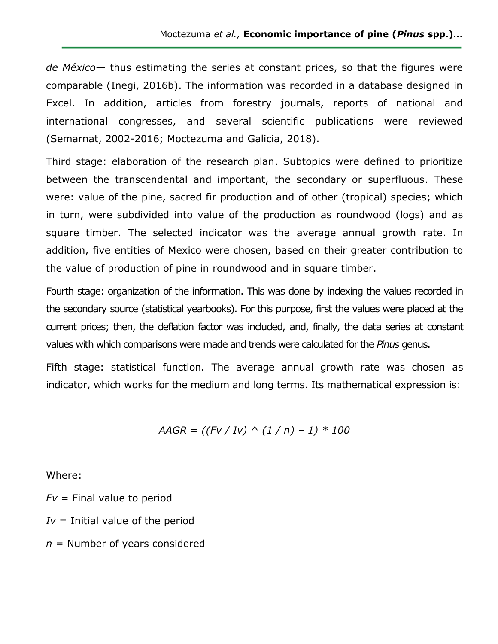*de México*— thus estimating the series at constant prices, so that the figures were comparable (Inegi, 2016b). The information was recorded in a database designed in Excel. In addition, articles from forestry journals, reports of national and international congresses, and several scientific publications were reviewed (Semarnat, 2002-2016; Moctezuma and Galicia, 2018).

Third stage: elaboration of the research plan. Subtopics were defined to prioritize between the transcendental and important, the secondary or superfluous. These were: value of the pine, sacred fir production and of other (tropical) species; which in turn, were subdivided into value of the production as roundwood (logs) and as square timber. The selected indicator was the average annual growth rate. In addition, five entities of Mexico were chosen, based on their greater contribution to the value of production of pine in roundwood and in square timber.

Fourth stage: organization of the information. This was done by indexing the values recorded in the secondary source (statistical yearbooks). For this purpose, first the values were placed at the current prices; then, the deflation factor was included, and, finally, the data series at constant values with which comparisons were made and trends were calculated for the *Pinus* genus.

Fifth stage: statistical function. The average annual growth rate was chosen as indicator, which works for the medium and long terms. Its mathematical expression is:

$$
AAGR = ((Fv / Iv) \land (1 / n) - 1) * 100
$$

Where:

 $Fv =$  Final value to period

- $Iv =$  Initial value of the period
- *n* = Number of years considered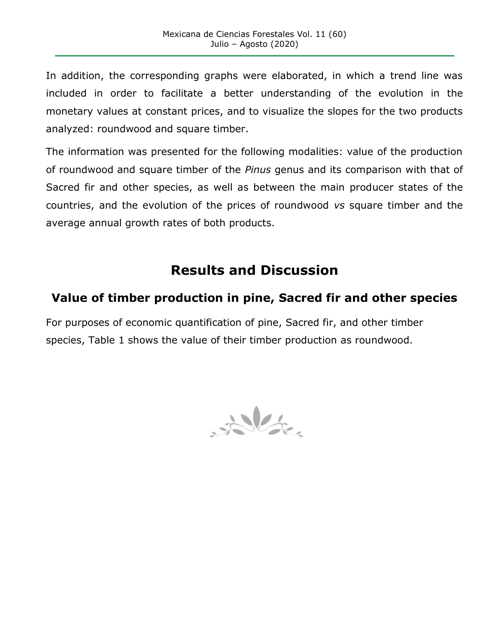In addition, the corresponding graphs were elaborated, in which a trend line was included in order to facilitate a better understanding of the evolution in the monetary values at constant prices, and to visualize the slopes for the two products analyzed: roundwood and square timber.

The information was presented for the following modalities: value of the production of roundwood and square timber of the *Pinus* genus and its comparison with that of Sacred fir and other species, as well as between the main producer states of the countries, and the evolution of the prices of roundwood *vs* square timber and the average annual growth rates of both products.

# **Results and Discussion**

## **Value of timber production in pine, Sacred fir and other species**

For purposes of economic quantification of pine, Sacred fir, and other timber species, Table 1 shows the value of their timber production as roundwood.

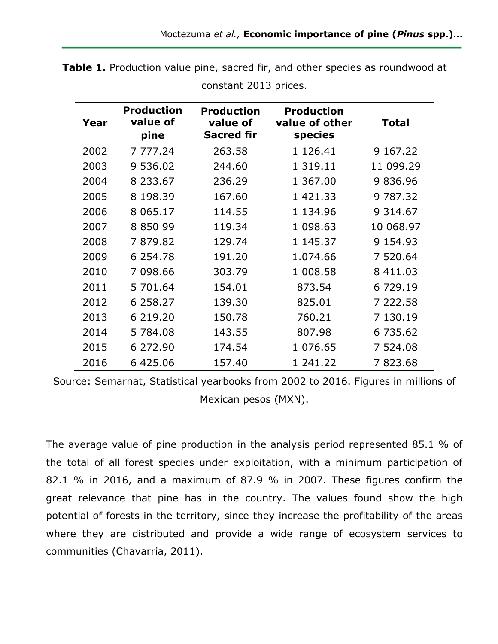| Year | <b>Production</b><br>value of<br>pine | <b>Production</b><br>value of<br><b>Sacred fir</b> | <b>Production</b><br>value of other<br>species | Total         |
|------|---------------------------------------|----------------------------------------------------|------------------------------------------------|---------------|
| 2002 | 7 777.24                              | 263.58                                             | 1 1 2 6 . 4 1                                  | 9 167.22      |
| 2003 | 9 536.02                              | 244.60                                             | 1 3 1 9 . 1 1                                  | 11 099.29     |
| 2004 | 8 2 3 3 . 6 7                         | 236.29                                             | 1 367.00                                       | 9836.96       |
| 2005 | 8 198.39                              | 167.60                                             | 1 421.33                                       | 9 787.32      |
| 2006 | 8 0 6 5 . 1 7                         | 114.55                                             | 1 134.96                                       | 9 3 1 4 . 6 7 |
| 2007 | 8 8 5 0 9 9                           | 119.34                                             | 1 098.63                                       | 10 068.97     |
| 2008 | 7879.82                               | 129.74                                             | 1 145.37                                       | 9 1 5 4 . 9 3 |
| 2009 | 6 2 5 4 . 7 8                         | 191.20                                             | 1.074.66                                       | 7 520.64      |
| 2010 | 7 098.66                              | 303.79                                             | 1 008.58                                       | 8 411.03      |
| 2011 | 5 701.64                              | 154.01                                             | 873.54                                         | 6 729.19      |
| 2012 | 6 258.27                              | 139.30                                             | 825.01                                         | 7 222.58      |
| 2013 | 6 219.20                              | 150.78                                             | 760.21                                         | 7 130.19      |
| 2014 | 5 784.08                              | 143.55                                             | 807.98                                         | 6 735.62      |
| 2015 | 6 272.90                              | 174.54                                             | 1 076.65                                       | 7 524.08      |
| 2016 | 6 425.06                              | 157.40                                             | 1 241.22                                       | 7823.68       |

**Table 1.** Production value pine, sacred fir, and other species as roundwood at constant 2013 prices.

Source: Semarnat, Statistical yearbooks from 2002 to 2016. Figures in millions of Mexican pesos (MXN).

The average value of pine production in the analysis period represented 85.1 % of the total of all forest species under exploitation, with a minimum participation of 82.1 % in 2016, and a maximum of 87.9 % in 2007. These figures confirm the great relevance that pine has in the country. The values found show the high potential of forests in the territory, since they increase the profitability of the areas where they are distributed and provide a wide range of ecosystem services to communities (Chavarría, 2011).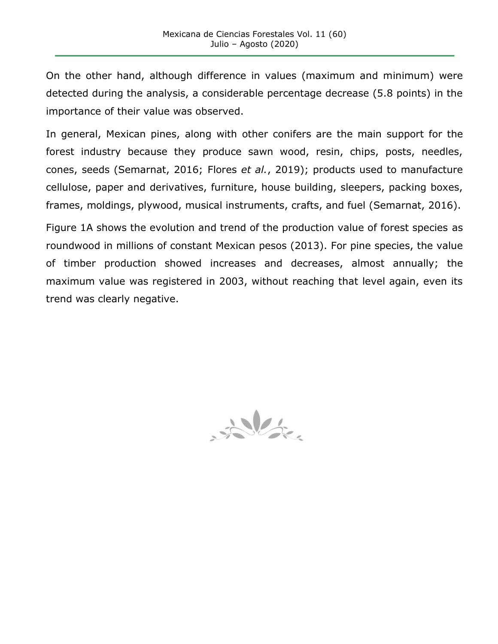On the other hand, although difference in values (maximum and minimum) were detected during the analysis, a considerable percentage decrease (5.8 points) in the importance of their value was observed.

In general, Mexican pines, along with other conifers are the main support for the forest industry because they produce sawn wood, resin, chips, posts, needles, cones, seeds (Semarnat, 2016; Flores *et al.*, 2019); products used to manufacture cellulose, paper and derivatives, furniture, house building, sleepers, packing boxes, frames, moldings, plywood, musical instruments, crafts, and fuel (Semarnat, 2016).

Figure 1A shows the evolution and trend of the production value of forest species as roundwood in millions of constant Mexican pesos (2013). For pine species, the value of timber production showed increases and decreases, almost annually; the maximum value was registered in 2003, without reaching that level again, even its trend was clearly negative.

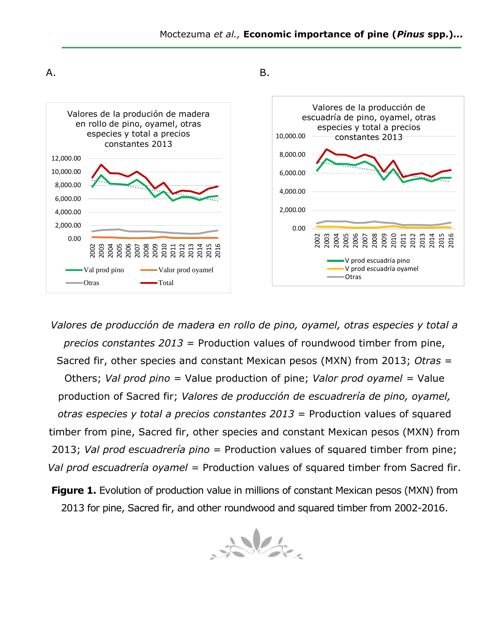

*Valores de producción de madera en rollo de pino, oyamel, otras especies y total a precios constantes 2013* = Production values of roundwood timber from pine, Sacred fir, other species and constant Mexican pesos (MXN) from 2013; *Otras* = Others; *Val prod pino =* Value production of pine; *Valor prod oyamel =* Value production of Sacred fir; *Valores de producción de escuadrería de pino, oyamel, otras especies y total a precios constantes 2013* = Production values of squared timber from pine, Sacred fir, other species and constant Mexican pesos (MXN) from 2013; *Val prod escuadrería pino* = Production values of squared timber from pine; *Val prod escuadrería oyamel* = Production values of squared timber from Sacred fir.

**Figure 1.** Evolution of production value in millions of constant Mexican pesos (MXN) from 2013 for pine, Sacred fir, and other roundwood and squared timber from 2002-2016.

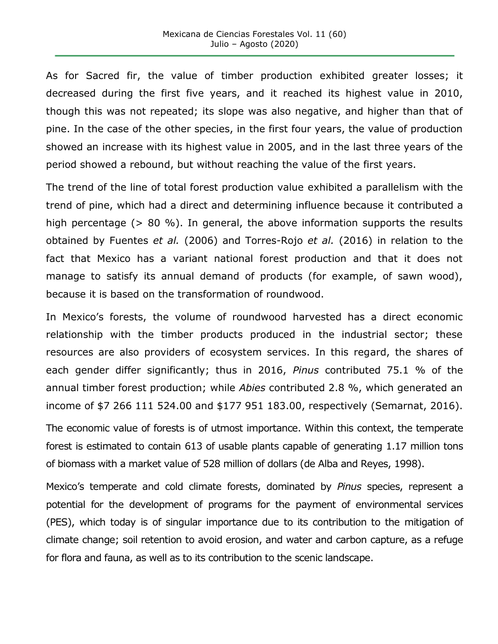As for Sacred fir, the value of timber production exhibited greater losses; it decreased during the first five years, and it reached its highest value in 2010, though this was not repeated; its slope was also negative, and higher than that of pine. In the case of the other species, in the first four years, the value of production showed an increase with its highest value in 2005, and in the last three years of the period showed a rebound, but without reaching the value of the first years.

The trend of the line of total forest production value exhibited a parallelism with the trend of pine, which had a direct and determining influence because it contributed a high percentage (> 80 %). In general, the above information supports the results obtained by Fuentes *et al.* (2006) and Torres-Rojo *et al.* (2016) in relation to the fact that Mexico has a variant national forest production and that it does not manage to satisfy its annual demand of products (for example, of sawn wood), because it is based on the transformation of roundwood.

In Mexico's forests, the volume of roundwood harvested has a direct economic relationship with the timber products produced in the industrial sector; these resources are also providers of ecosystem services. In this regard, the shares of each gender differ significantly; thus in 2016, *Pinus* contributed 75.1 % of the annual timber forest production; while *Abies* contributed 2.8 %, which generated an income of \$7 266 111 524.00 and \$177 951 183.00, respectively (Semarnat, 2016).

The economic value of forests is of utmost importance. Within this context, the temperate forest is estimated to contain 613 of usable plants capable of generating 1.17 million tons of biomass with a market value of 528 million of dollars (de Alba and Reyes, 1998).

Mexico's temperate and cold climate forests, dominated by *Pinus* species, represent a potential for the development of programs for the payment of environmental services (PES), which today is of singular importance due to its contribution to the mitigation of climate change; soil retention to avoid erosion, and water and carbon capture, as a refuge for flora and fauna, as well as to its contribution to the scenic landscape.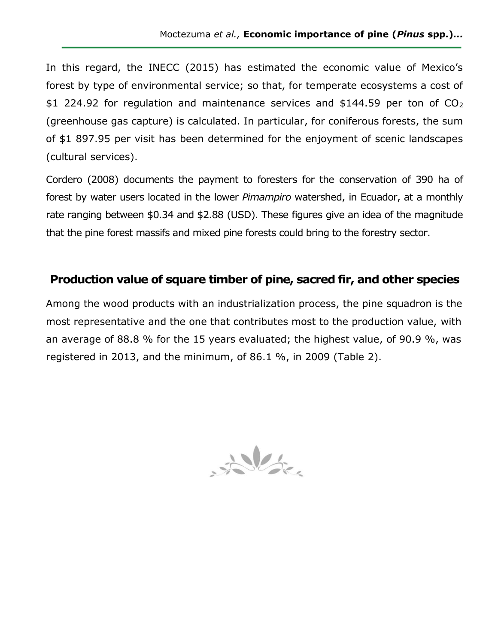In this regard, the INECC (2015) has estimated the economic value of Mexico's forest by type of environmental service; so that, for temperate ecosystems a cost of \$1 224.92 for regulation and maintenance services and \$144.59 per ton of  $CO<sub>2</sub>$ (greenhouse gas capture) is calculated. In particular, for coniferous forests, the sum of \$1 897.95 per visit has been determined for the enjoyment of scenic landscapes (cultural services).

Cordero (2008) documents the payment to foresters for the conservation of 390 ha of forest by water users located in the lower *Pimampiro* watershed, in Ecuador, at a monthly rate ranging between \$0.34 and \$2.88 (USD). These figures give an idea of the magnitude that the pine forest massifs and mixed pine forests could bring to the forestry sector.

### **Production value of square timber of pine, sacred fir, and other species**

Among the wood products with an industrialization process, the pine squadron is the most representative and the one that contributes most to the production value, with an average of 88.8 % for the 15 years evaluated; the highest value, of 90.9 %, was registered in 2013, and the minimum, of 86.1 %, in 2009 (Table 2).

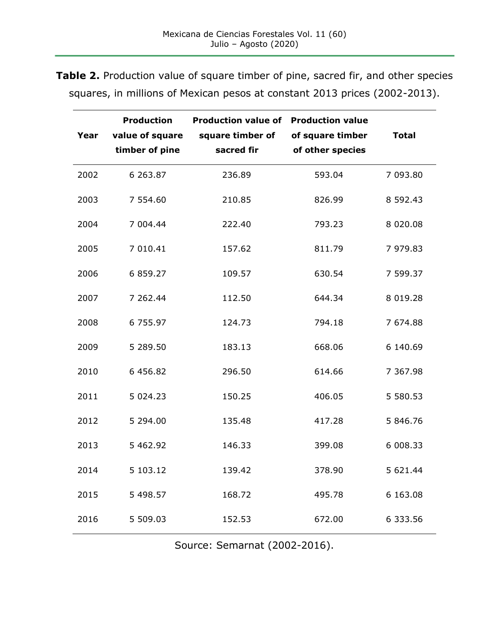| Year | <b>Production</b><br>value of square<br>timber of pine | <b>Production value of</b><br>square timber of<br>sacred fir | <b>Production value</b><br>of square timber<br>of other species | <b>Total</b>  |
|------|--------------------------------------------------------|--------------------------------------------------------------|-----------------------------------------------------------------|---------------|
| 2002 | 6 263.87                                               | 236.89                                                       | 593.04                                                          | 7 093.80      |
| 2003 | 7 554.60                                               | 210.85                                                       | 826.99                                                          | 8 592.43      |
| 2004 | 7 004.44                                               | 222.40                                                       | 793.23                                                          | 8 0 2 0 . 0 8 |
| 2005 | 7 010.41                                               | 157.62                                                       | 811.79                                                          | 7 979.83      |
| 2006 | 6 859.27                                               | 109.57                                                       | 630.54                                                          | 7 599.37      |
| 2007 | 7 262.44                                               | 112.50                                                       | 644.34                                                          | 8 0 1 9 . 2 8 |
| 2008 | 6 755.97                                               | 124.73                                                       | 794.18                                                          | 7 674.88      |
| 2009 | 5 289.50                                               | 183.13                                                       | 668.06                                                          | 6 140.69      |
| 2010 | 6 456.82                                               | 296.50                                                       | 614.66                                                          | 7 367.98      |
| 2011 | 5 0 24.23                                              | 150.25                                                       | 406.05                                                          | 5 580.53      |
| 2012 | 5 294.00                                               | 135.48                                                       | 417.28                                                          | 5 846.76      |
| 2013 | 5 462.92                                               | 146.33                                                       | 399.08                                                          | 6 008.33      |
| 2014 | 5 103.12                                               | 139.42                                                       | 378.90                                                          | 5 621.44      |
| 2015 | 5 498.57                                               | 168.72                                                       | 495.78                                                          | 6 163.08      |
| 2016 | 5 509.03                                               | 152.53                                                       | 672.00                                                          | 6 333.56      |

**Table 2.** Production value of square timber of pine, sacred fir, and other species squares, in millions of Mexican pesos at constant 2013 prices (2002-2013).

Source: Semarnat (2002-2016).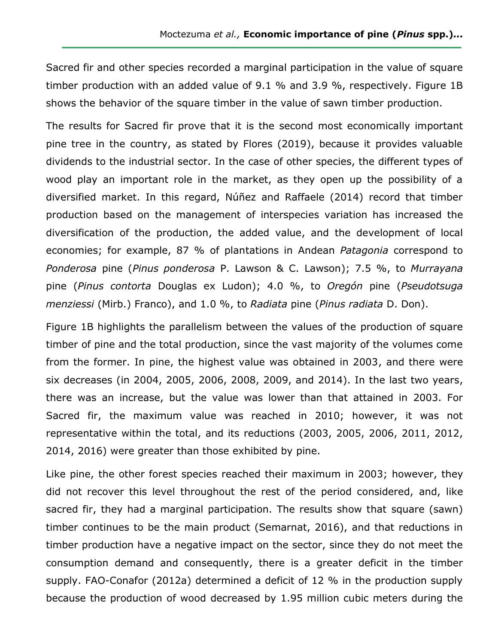Sacred fir and other species recorded a marginal participation in the value of square timber production with an added value of 9.1 % and 3.9 %, respectively. Figure 1B shows the behavior of the square timber in the value of sawn timber production.

The results for Sacred fir prove that it is the second most economically important pine tree in the country, as stated by Flores (2019), because it provides valuable dividends to the industrial sector. In the case of other species, the different types of wood play an important role in the market, as they open up the possibility of a diversified market. In this regard, Núñez and Raffaele (2014) record that timber production based on the management of interspecies variation has increased the diversification of the production, the added value, and the development of local economies; for example, 87 % of plantations in Andean *Patagonia* correspond to *Ponderosa* pine (*Pinus ponderosa* P. Lawson & C. Lawson); 7.5 %, to *Murrayana*  pine (*Pinus contorta* Douglas ex Ludon); 4.0 %, to *Oregón* pine (*Pseudotsuga menziessi* (Mirb.) Franco), and 1.0 %, to *Radiata* pine (*Pinus radiata* D. Don).

Figure 1B highlights the parallelism between the values of the production of square timber of pine and the total production, since the vast majority of the volumes come from the former. In pine, the highest value was obtained in 2003, and there were six decreases (in 2004, 2005, 2006, 2008, 2009, and 2014). In the last two years, there was an increase, but the value was lower than that attained in 2003. For Sacred fir, the maximum value was reached in 2010; however, it was not representative within the total, and its reductions (2003, 2005, 2006, 2011, 2012, 2014, 2016) were greater than those exhibited by pine.

Like pine, the other forest species reached their maximum in 2003; however, they did not recover this level throughout the rest of the period considered, and, like sacred fir, they had a marginal participation. The results show that square (sawn) timber continues to be the main product (Semarnat, 2016), and that reductions in timber production have a negative impact on the sector, since they do not meet the consumption demand and consequently, there is a greater deficit in the timber supply. FAO-Conafor (2012a) determined a deficit of 12 % in the production supply because the production of wood decreased by 1.95 million cubic meters during the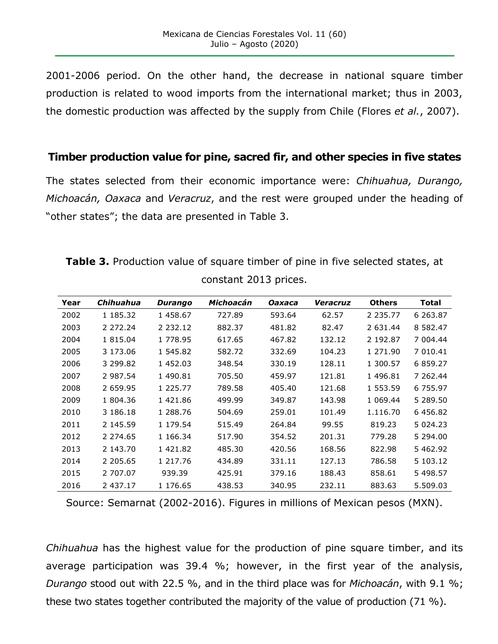2001-2006 period. On the other hand, the decrease in national square timber production is related to wood imports from the international market; thus in 2003, the domestic production was affected by the supply from Chile (Flores *et al.*, 2007).

#### **Timber production value for pine, sacred fir, and other species in five states**

The states selected from their economic importance were: *Chihuahua, Durango, Michoacán, Oaxaca* and *Veracruz*, and the rest were grouped under the heading of "other states"; the data are presented in Table 3.

| Table 3. Production value of square timber of pine in five selected states, at |  |                       |  |  |  |
|--------------------------------------------------------------------------------|--|-----------------------|--|--|--|
|                                                                                |  | constant 2013 prices. |  |  |  |

| Year | Chihuahua   | <b>Durango</b> | Michoacán | Oaxaca | Veracruz | <b>Others</b> | Total         |
|------|-------------|----------------|-----------|--------|----------|---------------|---------------|
| 2002 | 1 185.32    | 1458.67        | 727.89    | 593.64 | 62.57    | 2 2 3 5 . 7 7 | 6 263.87      |
| 2003 | 2 272.24    | 2 2 3 2 . 1 2  | 882.37    | 481.82 | 82.47    | 2 631.44      | 8 5 8 2 . 4 7 |
| 2004 | 1 815.04    | 1 778.95       | 617.65    | 467.82 | 132.12   | 2 192.87      | 7 004.44      |
| 2005 | 3 173.06    | 1 545.82       | 582.72    | 332.69 | 104.23   | 1 271.90      | 7 010.41      |
| 2006 | 3 299.82    | 1 452.03       | 348.54    | 330.19 | 128.11   | 1 300.57      | 6 859.27      |
| 2007 | 2 987.54    | 1 490.81       | 705.50    | 459.97 | 121.81   | 1 496.81      | 7 262.44      |
| 2008 | 2 659.95    | 1 225.77       | 789.58    | 405.40 | 121.68   | 1 553.59      | 6 755.97      |
| 2009 | 1 804.36    | 1 421.86       | 499.99    | 349.87 | 143.98   | 1 069.44      | 5 289.50      |
| 2010 | 3 186.18    | 1 288.76       | 504.69    | 259.01 | 101.49   | 1.116.70      | 6 456.82      |
| 2011 | 2 145.59    | 1 179.54       | 515.49    | 264.84 | 99.55    | 819.23        | 5 0 2 4 . 2 3 |
| 2012 | 2 2 7 4 .65 | 1 166.34       | 517.90    | 354.52 | 201.31   | 779.28        | 5 294.00      |
| 2013 | 2 143.70    | 1 421.82       | 485.30    | 420.56 | 168.56   | 822.98        | 5 462.92      |
| 2014 | 2 205.65    | 1 217.76       | 434.89    | 331.11 | 127.13   | 786.58        | 5 103.12      |
| 2015 | 2 707.07    | 939.39         | 425.91    | 379.16 | 188.43   | 858.61        | 5 498.57      |
| 2016 | 2 437.17    | 1 176.65       | 438.53    | 340.95 | 232.11   | 883.63        | 5.509.03      |

Source: Semarnat (2002-2016). Figures in millions of Mexican pesos (MXN).

*Chihuahua* has the highest value for the production of pine square timber, and its average participation was 39.4 %; however, in the first year of the analysis, *Durango* stood out with 22.5 %, and in the third place was for *Michoacán*, with 9.1 %; these two states together contributed the majority of the value of production (71 %).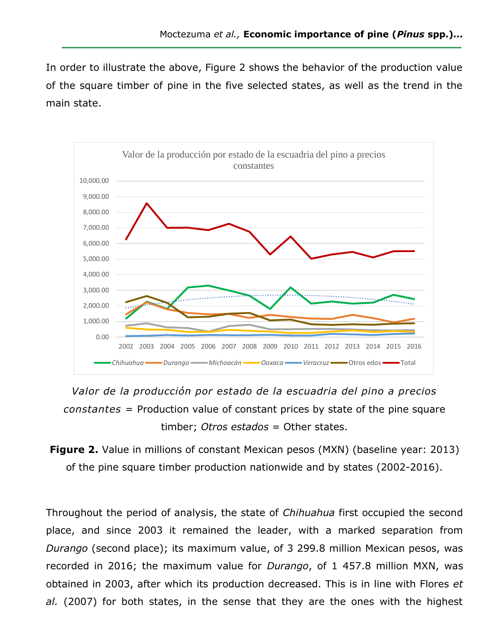In order to illustrate the above, Figure 2 shows the behavior of the production value of the square timber of pine in the five selected states, as well as the trend in the main state.



*Valor de la producción por estado de la escuadria del pino a precios constantes* = Production value of constant prices by state of the pine square timber; *Otros estados* = Other states.

**Figure 2.** Value in millions of constant Mexican pesos (MXN) (baseline year: 2013) of the pine square timber production nationwide and by states (2002-2016).

Throughout the period of analysis, the state of *Chihuahua* first occupied the second place, and since 2003 it remained the leader, with a marked separation from *Durango* (second place); its maximum value, of 3 299.8 million Mexican pesos, was recorded in 2016; the maximum value for *Durango*, of 1 457.8 million MXN, was obtained in 2003, after which its production decreased. This is in line with Flores *et al.* (2007) for both states, in the sense that they are the ones with the highest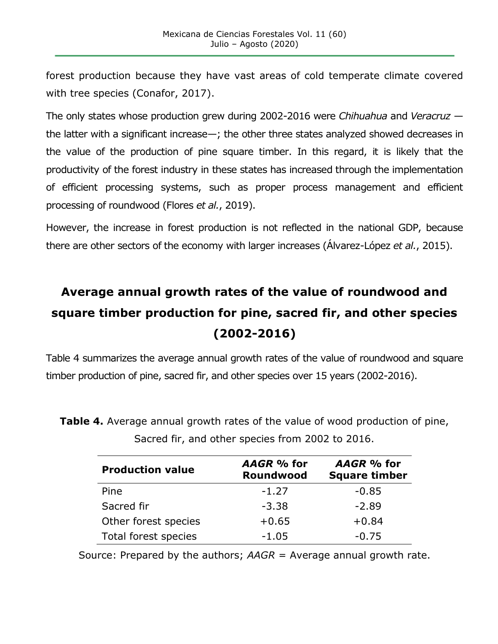forest production because they have vast areas of cold temperate climate covered with tree species (Conafor, 2017).

The only states whose production grew during 2002-2016 were *Chihuahua* and *Veracruz* the latter with a significant increase—; the other three states analyzed showed decreases in the value of the production of pine square timber. In this regard, it is likely that the productivity of the forest industry in these states has increased through the implementation of efficient processing systems, such as proper process management and efficient processing of roundwood (Flores *et al.*, 2019).

However, the increase in forest production is not reflected in the national GDP, because there are other sectors of the economy with larger increases (Álvarez-López *et al.*, 2015).

# **Average annual growth rates of the value of roundwood and square timber production for pine, sacred fir, and other species (2002-2016)**

Table 4 summarizes the average annual growth rates of the value of roundwood and square timber production of pine, sacred fir, and other species over 15 years (2002-2016).

| <b>Production value</b> | AAGR % for<br>Roundwood | AAGR % for<br><b>Square timber</b> |  |
|-------------------------|-------------------------|------------------------------------|--|
| Pine                    | $-1.27$                 | $-0.85$                            |  |
| Sacred fir              | $-3.38$                 | $-2.89$                            |  |
| Other forest species    | $+0.65$                 | $+0.84$                            |  |
| Total forest species    | $-1.05$                 | $-0.75$                            |  |

**Table 4.** Average annual growth rates of the value of wood production of pine, Sacred fir, and other species from 2002 to 2016.

Source: Prepared by the authors; *AAGR* = Average annual growth rate.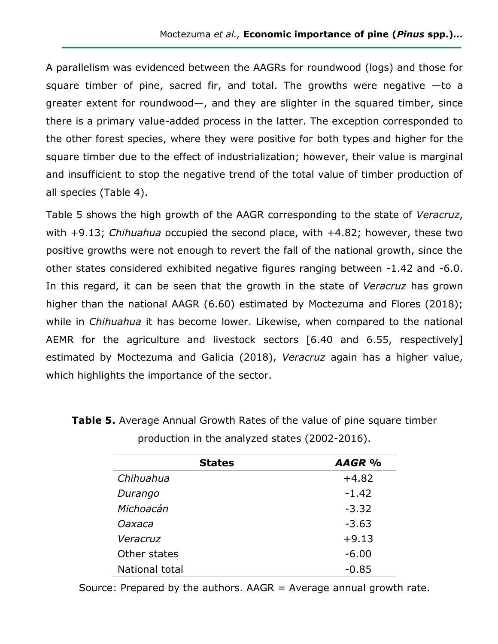A parallelism was evidenced between the AAGRs for roundwood (logs) and those for square timber of pine, sacred fir, and total. The growths were negative  $-$ to a greater extent for roundwood—, and they are slighter in the squared timber, since there is a primary value-added process in the latter. The exception corresponded to the other forest species, where they were positive for both types and higher for the square timber due to the effect of industrialization; however, their value is marginal and insufficient to stop the negative trend of the total value of timber production of all species (Table 4).

Table 5 shows the high growth of the AAGR corresponding to the state of *Veracruz*, with +9.13; *Chihuahua* occupied the second place, with +4.82; however, these two positive growths were not enough to revert the fall of the national growth, since the other states considered exhibited negative figures ranging between -1.42 and -6.0. In this regard, it can be seen that the growth in the state of *Veracruz* has grown higher than the national AAGR (6.60) estimated by Moctezuma and Flores (2018); while in *Chihuahua* it has become lower. Likewise, when compared to the national AEMR for the agriculture and livestock sectors [6.40 and 6.55, respectively] estimated by Moctezuma and Galicia (2018), *Veracruz* again has a higher value, which highlights the importance of the sector.

| <b>States</b>  | AAGR %  |
|----------------|---------|
| Chihuahua      | $+4.82$ |
| Durango        | $-1.42$ |
| Michoacán      | $-3.32$ |
| Oaxaca         | $-3.63$ |
| Veracruz       | $+9.13$ |
| Other states   | $-6.00$ |
| National total | $-0.85$ |

**Table 5.** Average Annual Growth Rates of the value of pine square timber production in the analyzed states (2002-2016).

Source: Prepared by the authors.  $AAGR = Average$  annual growth rate.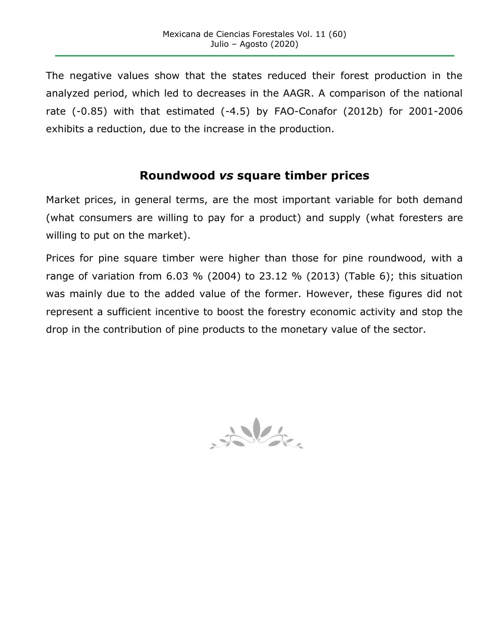The negative values show that the states reduced their forest production in the analyzed period, which led to decreases in the AAGR. A comparison of the national rate (-0.85) with that estimated (-4.5) by FAO-Conafor (2012b) for 2001-2006 exhibits a reduction, due to the increase in the production.

### **Roundwood** *vs* **square timber prices**

Market prices, in general terms, are the most important variable for both demand (what consumers are willing to pay for a product) and supply (what foresters are willing to put on the market).

Prices for pine square timber were higher than those for pine roundwood, with a range of variation from 6.03 % (2004) to 23.12 % (2013) (Table 6); this situation was mainly due to the added value of the former. However, these figures did not represent a sufficient incentive to boost the forestry economic activity and stop the drop in the contribution of pine products to the monetary value of the sector.

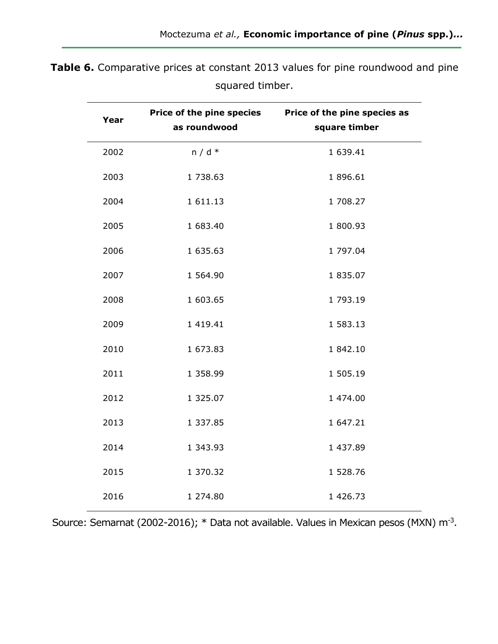| Year | as roundwood | Price of the pine species Price of the pine species as<br>square timber |
|------|--------------|-------------------------------------------------------------------------|
| 2002 | $n/d *$      | 1 639.41                                                                |
| 2003 | 1 738.63     | 1 896.61                                                                |
| 2004 | 1 611.13     | 1 708.27                                                                |
| 2005 | 1 683.40     | 1 800.93                                                                |
| 2006 | 1 635.63     | 1 797.04                                                                |
| 2007 | 1 564.90     | 1 835.07                                                                |
| 2008 | 1 603.65     | 1 793.19                                                                |
| 2009 | 1 419.41     | 1 583.13                                                                |
| 2010 | 1 673.83     | 1 842.10                                                                |
| 2011 | 1 358.99     | 1 505.19                                                                |
| 2012 | 1 325.07     | 1 474.00                                                                |
| 2013 | 1 337.85     | 1 647.21                                                                |
| 2014 | 1 343.93     | 1 437.89                                                                |
| 2015 | 1 370.32     | 1 528.76                                                                |
| 2016 | 1 274.80     | 1 426.73                                                                |

**Table 6.** Comparative prices at constant 2013 values for pine roundwood and pine squared timber.

Source: Semarnat (2002-2016); \* Data not available. Values in Mexican pesos (MXN) m<sup>-3</sup>.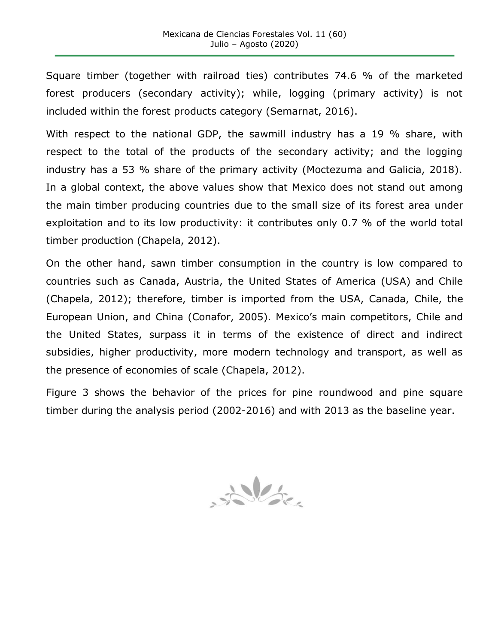Square timber (together with railroad ties) contributes 74.6 % of the marketed forest producers (secondary activity); while, logging (primary activity) is not included within the forest products category (Semarnat, 2016).

With respect to the national GDP, the sawmill industry has a 19 % share, with respect to the total of the products of the secondary activity; and the logging industry has a 53 % share of the primary activity (Moctezuma and Galicia, 2018). In a global context, the above values show that Mexico does not stand out among the main timber producing countries due to the small size of its forest area under exploitation and to its low productivity: it contributes only 0.7 % of the world total timber production (Chapela, 2012).

On the other hand, sawn timber consumption in the country is low compared to countries such as Canada, Austria, the United States of America (USA) and Chile (Chapela, 2012); therefore, timber is imported from the USA, Canada, Chile, the European Union, and China (Conafor, 2005). Mexico's main competitors, Chile and the United States, surpass it in terms of the existence of direct and indirect subsidies, higher productivity, more modern technology and transport, as well as the presence of economies of scale (Chapela, 2012).

Figure 3 shows the behavior of the prices for pine roundwood and pine square timber during the analysis period (2002-2016) and with 2013 as the baseline year.

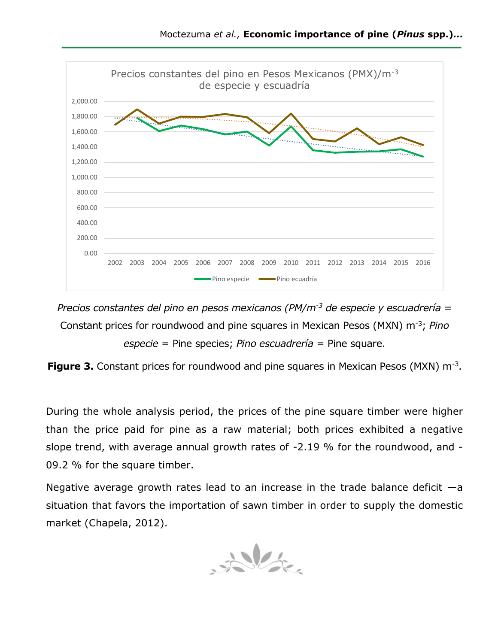

*Precios constantes del pino en pesos mexicanos (PM/m-3 de especie y escuadrería* = Constant prices for roundwood and pine squares in Mexican Pesos (MXN) m-3; *Pino especie* = Pine species; *Pino escuadrería* = Pine square.

**Figure 3.** Constant prices for roundwood and pine squares in Mexican Pesos (MXN) m<sup>-3</sup>.

During the whole analysis period, the prices of the pine square timber were higher than the price paid for pine as a raw material; both prices exhibited a negative slope trend, with average annual growth rates of -2.19 % for the roundwood, and - 09.2 % for the square timber.

Negative average growth rates lead to an increase in the trade balance deficit  $-a$ situation that favors the importation of sawn timber in order to supply the domestic market (Chapela, 2012).

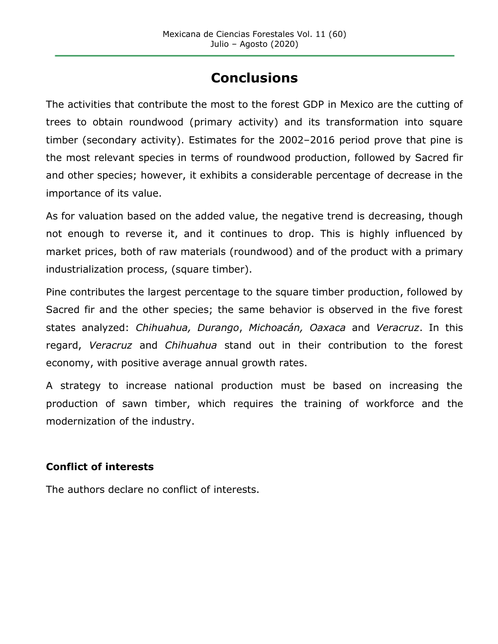# **Conclusions**

The activities that contribute the most to the forest GDP in Mexico are the cutting of trees to obtain roundwood (primary activity) and its transformation into square timber (secondary activity). Estimates for the 2002–2016 period prove that pine is the most relevant species in terms of roundwood production, followed by Sacred fir and other species; however, it exhibits a considerable percentage of decrease in the importance of its value.

As for valuation based on the added value, the negative trend is decreasing, though not enough to reverse it, and it continues to drop. This is highly influenced by market prices, both of raw materials (roundwood) and of the product with a primary industrialization process, (square timber).

Pine contributes the largest percentage to the square timber production, followed by Sacred fir and the other species; the same behavior is observed in the five forest states analyzed: *Chihuahua, Durango*, *Michoacán, Oaxaca* and *Veracruz*. In this regard, *Veracruz* and *Chihuahua* stand out in their contribution to the forest economy, with positive average annual growth rates.

A strategy to increase national production must be based on increasing the production of sawn timber, which requires the training of workforce and the modernization of the industry.

#### **Conflict of interests**

The authors declare no conflict of interests.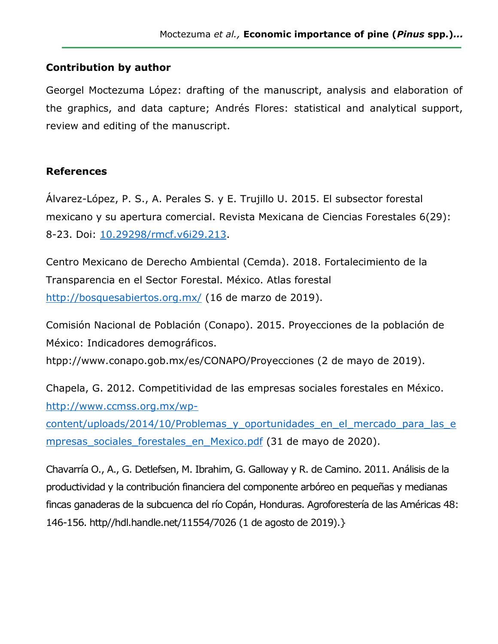#### **Contribution by author**

Georgel Moctezuma López: drafting of the manuscript, analysis and elaboration of the graphics, and data capture; Andrés Flores: statistical and analytical support, review and editing of the manuscript.

#### **References**

Álvarez-López, P. S., A. Perales S. y E. Trujillo U. 2015. El subsector forestal mexicano y su apertura comercial. Revista Mexicana de Ciencias Forestales 6(29): 8-23. Doi: [10.29298/rmcf.v6i29.213.](https://doi.org/10.29298/rmcf.v6i29.213)

Centro Mexicano de Derecho Ambiental (Cemda). 2018. Fortalecimiento de la Transparencia en el Sector Forestal. México. Atlas forestal <http://bosquesabiertos.org.mx/> (16 de marzo de 2019).

Comisión Nacional de Población (Conapo). 2015. Proyecciones de la población de México: Indicadores demográficos.

htpp://www.conapo.gob.mx/es/CONAPO/Proyecciones (2 de mayo de 2019).

Chapela, G. 2012. Competitividad de las empresas sociales forestales en México. [http://www.ccmss.org.mx/wp-](http://www.ccmss.org.mx/wp-content/uploads/2014/10/Problemas_y_oportunidades_en_el_mercado_para_las_empresas_sociales_forestales_en_Mexico.pdf)

content/uploads/2014/10/Problemas y oportunidades en el mercado para las e mpresas sociales forestales en Mexico.pdf (31 de mayo de 2020).

Chavarría O., A., G. Detlefsen, M. Ibrahim, G. Galloway y R. de Camino. 2011. Análisis de la productividad y la contribución financiera del componente arbóreo en pequeñas y medianas fincas ganaderas de la subcuenca del río Copán, Honduras. Agroforestería de las Américas 48: 146-156. http//hdl.handle.net/11554/7026 (1 de agosto de 2019).}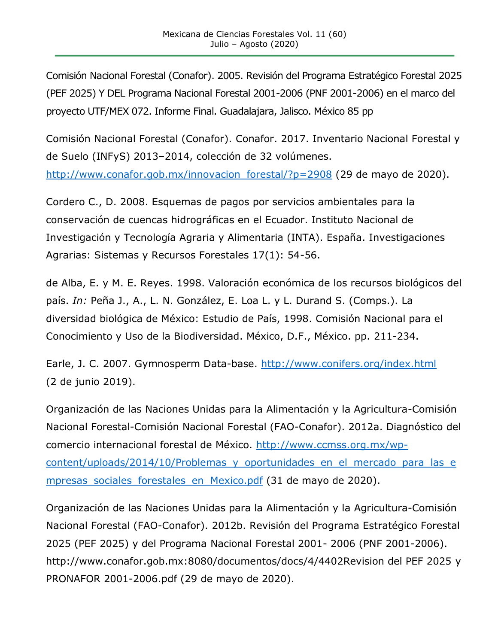Comisión Nacional Forestal (Conafor). 2005. Revisión del Programa Estratégico Forestal 2025 (PEF 2025) Y DEL Programa Nacional Forestal 2001-2006 (PNF 2001-2006) en el marco del proyecto UTF/MEX 072. Informe Final. Guadalajara, Jalisco. México 85 pp

Comisión Nacional Forestal (Conafor). Conafor. 2017. Inventario Nacional Forestal y de Suelo (INFyS) 2013–2014, colección de 32 volúmenes. [http://www.conafor.gob.mx/innovacion\\_forestal/?p=2908](http://www.conafor.gob.mx/innovacion_forestal/?p=2908) (29 de mayo de 2020).

Cordero C., D. 2008. Esquemas de pagos por servicios ambientales para la conservación de cuencas hidrográficas en el Ecuador. Instituto Nacional de Investigación y Tecnología Agraria y Alimentaria (INTA). España. Investigaciones Agrarias: Sistemas y Recursos Forestales 17(1): 54-56.

de Alba, E. y M. E. Reyes. 1998. Valoración económica de los recursos biológicos del país. *In:* Peña J., A., L. N. González, E. Loa L. y L. Durand S. (Comps.). La diversidad biológica de México: Estudio de País, 1998. Comisión Nacional para el Conocimiento y Uso de la Biodiversidad. México, D.F., México. pp. 211-234.

Earle, J. C. 2007. Gymnosperm Data-base.<http://www.conifers.org/index.html> (2 de junio 2019).

Organización de las Naciones Unidas para la Alimentación y la Agricultura-Comisión Nacional Forestal-Comisión Nacional Forestal (FAO-Conafor). 2012a. Diagnóstico del comercio internacional forestal de México. [http://www.ccmss.org.mx/wp](http://www.ccmss.org.mx/wp-content/uploads/2014/10/Problemas_y_oportunidades_en_el_mercado_para_las_empresas_sociales_forestales_en_Mexico.pdf)content/uploads/2014/10/Problemas y oportunidades en el mercado para las e mpresas sociales forestales en Mexico.pdf (31 de mayo de 2020).

Organización de las Naciones Unidas para la Alimentación y la Agricultura-Comisión Nacional Forestal (FAO-Conafor). 2012b. Revisión del Programa Estratégico Forestal 2025 (PEF 2025) y del Programa Nacional Forestal 2001- 2006 (PNF 2001-2006). http://www.conafor.gob.mx:8080/documentos/docs/4/4402Revision del PEF 2025 y PRONAFOR 2001-2006.pdf (29 de mayo de 2020).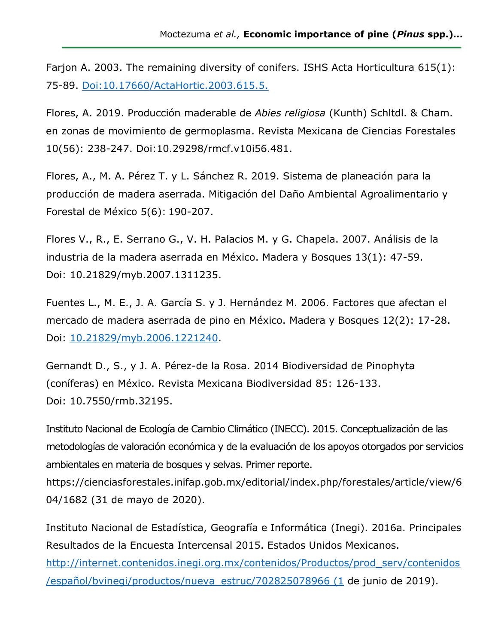Farjon A. 2003. The remaining diversity of conifers. ISHS Acta Horticultura 615(1): 75-89. [Doi:10.17660/ActaHortic.2003.615.5.](https://doi.org/10.17660/ActaHortic.2003.615.5)

Flores, A. 2019. Producción maderable de *Abies religiosa* (Kunth) Schltdl. & Cham. en zonas de movimiento de germoplasma. Revista Mexicana de Ciencias Forestales 10(56): 238-247. Doi:10.29298/rmcf.v10i56.481.

Flores, A., M. A. Pérez T. y L. Sánchez R. 2019. Sistema de planeación para la producción de madera aserrada. Mitigación del Daño Ambiental Agroalimentario y Forestal de México 5(6): 190-207.

Flores V., R., E. Serrano G., V. H. Palacios M. y G. Chapela. 2007. Análisis de la industria de la madera aserrada en México. Madera y Bosques 13(1): 47-59. Doi: 10.21829/myb.2007.1311235.

Fuentes L., M. E., J. A. García S. y J. Hernández M. 2006. Factores que afectan el mercado de madera aserrada de pino en México. Madera y Bosques 12(2): 17-28. Doi: [10.21829/myb.2006.1221240.](https://doi.org/10.21829/myb.2006.1221240)

Gernandt D., S., y J. A. Pérez-de la Rosa. 2014 Biodiversidad de Pinophyta (coníferas) en México. Revista Mexicana Biodiversidad 85: 126-133. Doi: 10.7550/rmb.32195.

Instituto Nacional de Ecología de Cambio Climático (INECC). 2015. Conceptualización de las metodologías de valoración económica y de la evaluación de los apoyos otorgados por servicios ambientales en materia de bosques y selvas. Primer reporte.

https://cienciasforestales.inifap.gob.mx/editorial/index.php/forestales/article/view/6 04/1682 (31 de mayo de 2020).

Instituto Nacional de Estadística, Geografía e Informática (Inegi). 2016a. Principales Resultados de la Encuesta Intercensal 2015. Estados Unidos Mexicanos. [http://internet.contenidos.inegi.org.mx/contenidos/Productos/prod\\_serv/contenidos](http://internet.contenidos.inegi.org.mx/contenidos/Productos/prod_serv/contenidos/español/bvinegi/productos/nueva_estruc/702825078966%20(1)

[/español/bvinegi/productos/nueva\\_estruc/702825078966](http://internet.contenidos.inegi.org.mx/contenidos/Productos/prod_serv/contenidos/español/bvinegi/productos/nueva_estruc/702825078966%20(1) (1 de junio de 2019).